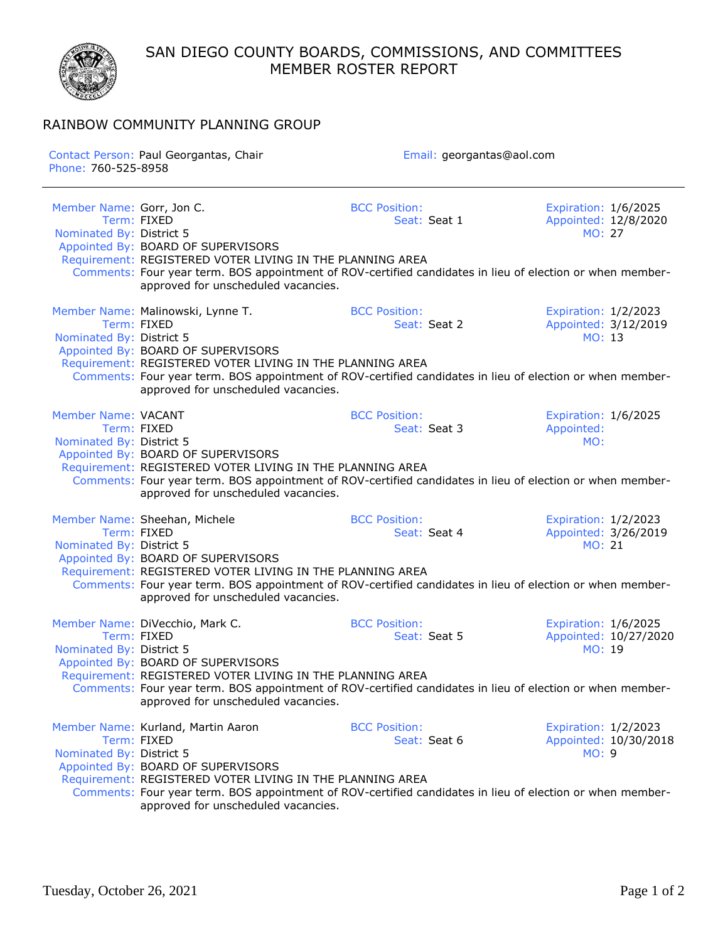SAN DIEGO COUNTY BOARDS, COMMISSIONS, AND COMMITTEES MEMBER ROSTER REPORT



## RAINBOW COMMUNITY PLANNING GROUP

| Contact Person: Paul Georgantas, Chair<br>Phone: 760-525-8958 |                                                                                                                                                                              | Email: georgantas@aol.com                                                                                                                         |                                                        |  |
|---------------------------------------------------------------|------------------------------------------------------------------------------------------------------------------------------------------------------------------------------|---------------------------------------------------------------------------------------------------------------------------------------------------|--------------------------------------------------------|--|
| Member Name: Gorr, Jon C.                                     | Appointed By: BOARD OF SUPERVISORS                                                                                                                                           | <b>BCC Position:</b>                                                                                                                              | Expiration: 1/6/2025                                   |  |
| Term: FIXED                                                   | Requirement: REGISTERED VOTER LIVING IN THE PLANNING AREA                                                                                                                    | Seat: Seat 1                                                                                                                                      | Appointed: 12/8/2020                                   |  |
| Nominated By: District 5                                      | approved for unscheduled vacancies.                                                                                                                                          | Comments: Four year term. BOS appointment of ROV-certified candidates in lieu of election or when member-                                         | <b>MO: 27</b>                                          |  |
| Member Name: Malinowski, Lynne T.                             | Appointed By: BOARD OF SUPERVISORS                                                                                                                                           | <b>BCC Position:</b>                                                                                                                              | Expiration: 1/2/2023                                   |  |
| Term: FIXED                                                   | Requirement: REGISTERED VOTER LIVING IN THE PLANNING AREA                                                                                                                    | Seat: Seat 2                                                                                                                                      | Appointed: 3/12/2019                                   |  |
| Nominated By: District 5                                      | approved for unscheduled vacancies.                                                                                                                                          | Comments: Four year term. BOS appointment of ROV-certified candidates in lieu of election or when member-                                         | MO: 13                                                 |  |
| <b>Member Name: VACANT</b>                                    | Appointed By: BOARD OF SUPERVISORS                                                                                                                                           | <b>BCC Position:</b>                                                                                                                              | Expiration: 1/6/2025                                   |  |
| Term: FIXED                                                   | Requirement: REGISTERED VOTER LIVING IN THE PLANNING AREA                                                                                                                    | Seat: Seat 3                                                                                                                                      | Appointed:                                             |  |
| Nominated By: District 5                                      | approved for unscheduled vacancies.                                                                                                                                          | Comments: Four year term. BOS appointment of ROV-certified candidates in lieu of election or when member-                                         | MO:                                                    |  |
| Member Name: Sheehan, Michele                                 | Appointed By: BOARD OF SUPERVISORS                                                                                                                                           | <b>BCC Position:</b>                                                                                                                              | Expiration: 1/2/2023                                   |  |
| Term: FIXED                                                   | Requirement: REGISTERED VOTER LIVING IN THE PLANNING AREA                                                                                                                    | Seat: Seat 4                                                                                                                                      | Appointed: 3/26/2019                                   |  |
| Nominated By: District 5                                      | approved for unscheduled vacancies.                                                                                                                                          | Comments: Four year term. BOS appointment of ROV-certified candidates in lieu of election or when member-                                         | MO: 21                                                 |  |
| Member Name: DiVecchio, Mark C.                               | Appointed By: BOARD OF SUPERVISORS                                                                                                                                           | <b>BCC Position:</b>                                                                                                                              | Expiration: 1/6/2025                                   |  |
| Term: FIXED                                                   | Requirement: REGISTERED VOTER LIVING IN THE PLANNING AREA                                                                                                                    | Seat: Seat 5                                                                                                                                      | Appointed: 10/27/2020                                  |  |
| Nominated By: District 5                                      | approved for unscheduled vacancies.                                                                                                                                          | Comments: Four year term. BOS appointment of ROV-certified candidates in lieu of election or when member-                                         | MO: 19                                                 |  |
| Term: FIXED<br>Nominated By: District 5                       | Member Name: Kurland, Martin Aaron<br>Appointed By: BOARD OF SUPERVISORS<br>Requirement: REGISTERED VOTER LIVING IN THE PLANNING AREA<br>approved for unscheduled vacancies. | <b>BCC Position:</b><br>Seat: Seat 6<br>Comments: Four year term. BOS appointment of ROV-certified candidates in lieu of election or when member- | Expiration: 1/2/2023<br>Appointed: 10/30/2018<br>MO: 9 |  |